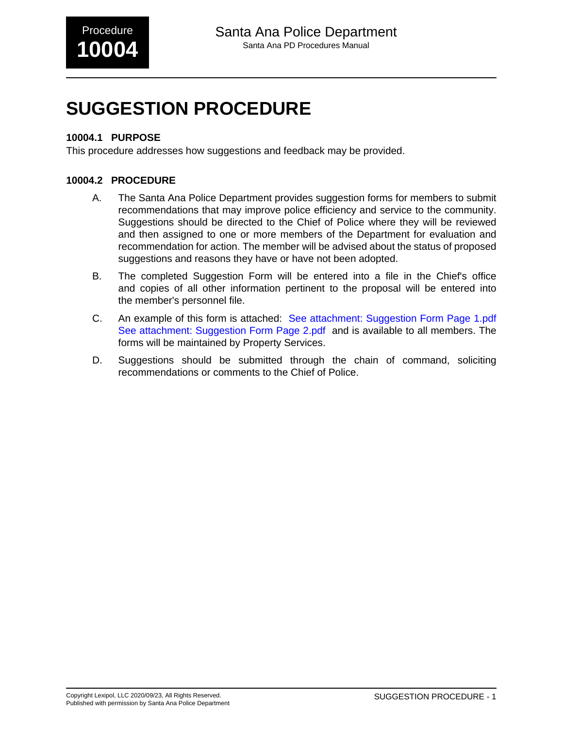# **SUGGESTION PROCEDURE**

### **10004.1 PURPOSE**

This procedure addresses how suggestions and feedback may be provided.

### **10004.2 PROCEDURE**

- A. The Santa Ana Police Department provides suggestion forms for members to submit recommendations that may improve police efficiency and service to the community. Suggestions should be directed to the Chief of Police where they will be reviewed and then assigned to one or more members of the Department for evaluation and recommendation for action. The member will be advised about the status of proposed suggestions and reasons they have or have not been adopted.
- B. The completed Suggestion Form will be entered into a file in the Chief's office and copies of all other information pertinent to the proposal will be entered into the member's personnel file.
- C. An example of this form is attached: [See attachment: Suggestion Form Page 1.pdf](#page-2-0) [See attachment: Suggestion Form Page 2.pdf](#page-4-0) and is available to all members. The forms will be maintained by Property Services.
- D. Suggestions should be submitted through the chain of command, soliciting recommendations or comments to the Chief of Police.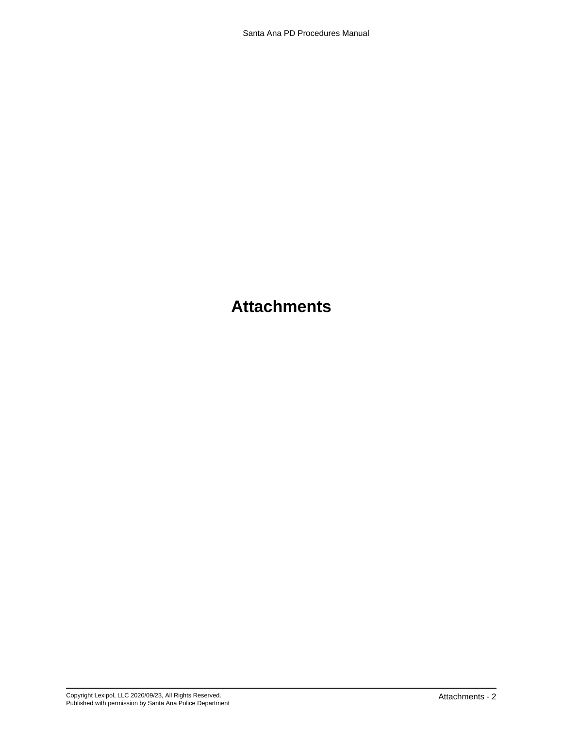### **Attachments**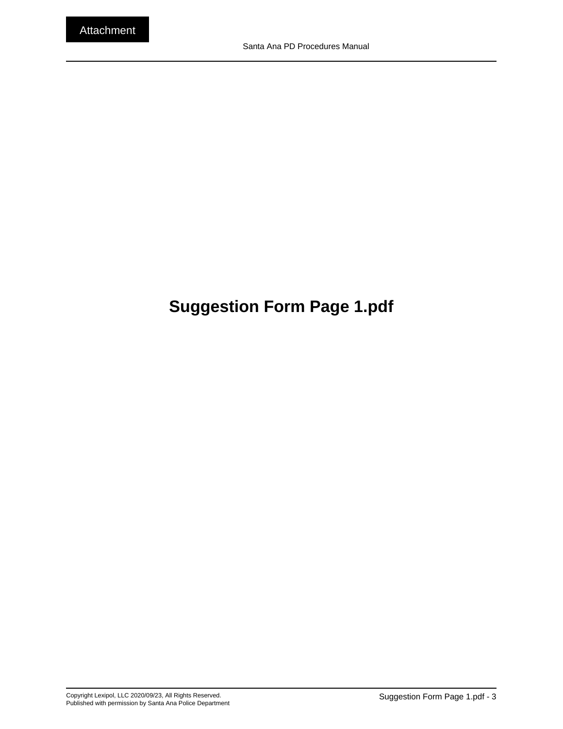## <span id="page-2-0"></span>**Suggestion Form Page 1.pdf**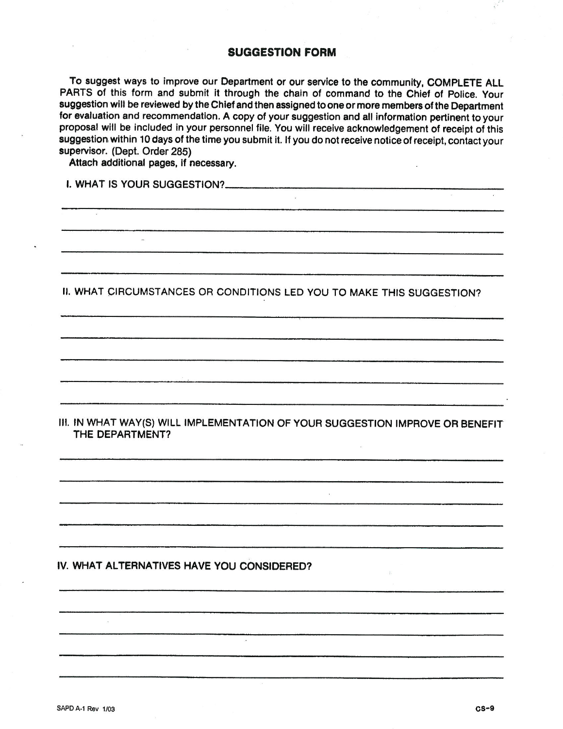#### **SUGGESTION FORM**

To suggest ways to improve our Department or our service to the community, COMPLETE ALL PARTS of this form and submit it through the chain of command to the Chief of Police. Your suggestion will be reviewed by the Chief and then assigned to one or more members of the Department for evaluation and recommendation. A copy of your suggestion and all information pertinent to your proposal will be included in your personnel file. You will receive acknowledgement of receipt of this suggestion within 10 days of the time you submit it. If you do not receive notice of receipt, contact your supervisor. (Dept. Order 285)

Attach additional pages, if necessary.

I. WHAT IS YOUR SUGGESTION?

II. WHAT CIRCUMSTANCES OR CONDITIONS LED YOU TO MAKE THIS SUGGESTION?

III. IN WHAT WAY(S) WILL IMPLEMENTATION OF YOUR SUGGESTION IMPROVE OR BENEFIT THE DEPARTMENT?

#### IV. WHAT ALTERNATIVES HAVE YOU CONSIDERED?

度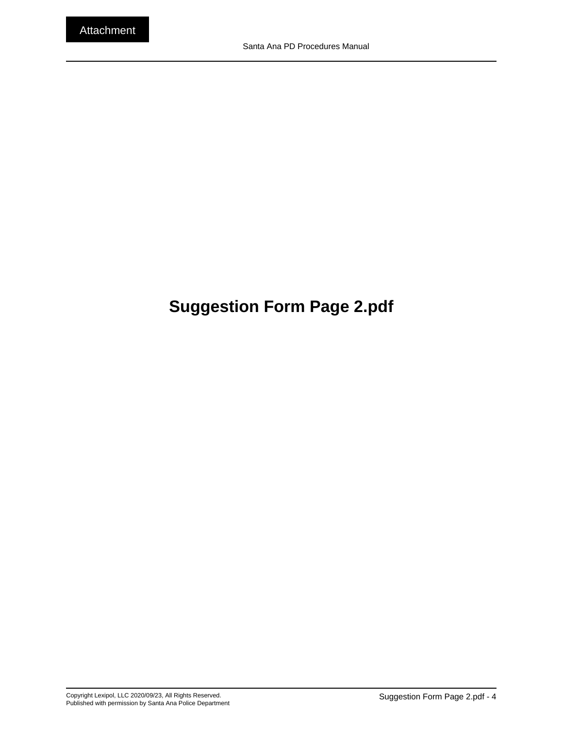## <span id="page-4-0"></span>**Suggestion Form Page 2.pdf**